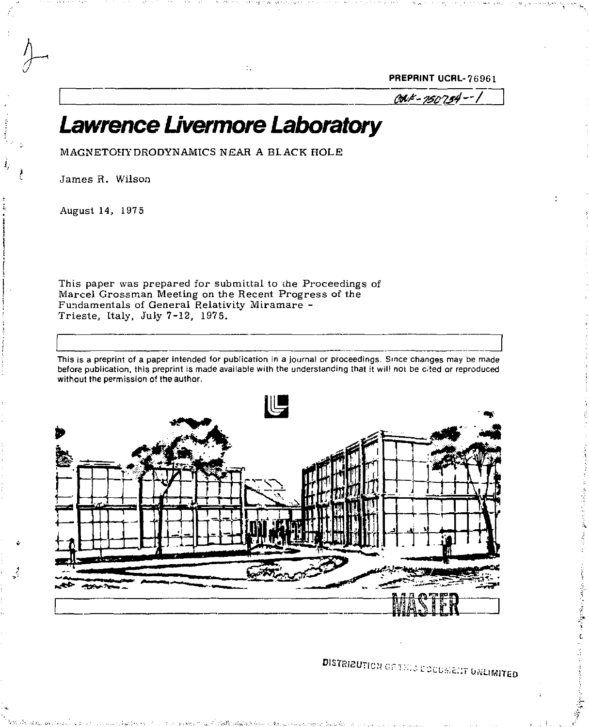PREPRINT UCRL-76961

 $001 - 150754 - 1$ 

# *Lawrence Uvermore Laboratory*

 $\mathbb{R}^2$ 

MAGNETOHYDRODYNAMICS NEAR A BLACK HOLE

James R. Wilson

August 14, 1975

Ĵ,

This paper was prepared for submittal to the Proceedings of Marcel Grossman Meeting on the Recent Progress of the Fundamentals of General Relativity Miramare - Trieste, Italy, July 7-12, 1975.

This is a preprint of a paper intended for publication in a journal or proceedings. Since changes may be made before publication, this preprint is made available with the understanding that it will not be cited or reproduced without the permission of the author.



DISTRIBUTION OF THIS EDUCUSENT UNLIMITED

the confidence of any police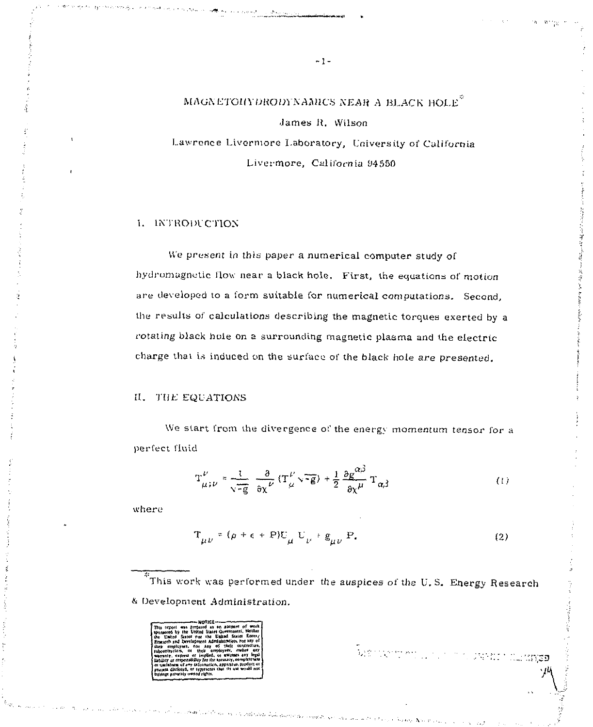MAGNETOHYDRODYNAMICS NEAR A BLACK HOLE<sup>2</sup> James R. Wilson

Lawrence Livermore Laboratory, University of California Livermore, California 94550

## **L. INTRODUCTION**

We present in this paper a numerical computer study of hydromagnetic flow near a black hole. First, the equations of motion are developed to a form suitable for numerical computations. Second, the results of calculations describing the magnetic torques exerted by a rotating black hole on a surrounding magnetic plasma and the electric charge that is induced on the surface of the black hole are presented.

## II. THE EQUATIONS

We start from the divergence of the energy momentum tensor for a perfect fluid

$$
T_{\mu;\nu}^{\nu} = \frac{1}{\sqrt{-g}} \frac{\partial}{\partial x^{\nu}} (T_{\mu}^{\nu} \sqrt{-g}) + \frac{1}{2} \frac{\partial g^{\alpha\beta}}{\partial x^{\mu}} T_{\alpha\beta}
$$
 (1)

where

$$
\Gamma_{\mu\nu} = (\rho + \epsilon + P)U_{\mu} U_{\nu} + g_{\mu\nu} P. \tag{2}
$$

Le des provincias de la contrata de la contrata de la contrata de la contrata de la contrata de la contrata de

.<br>This work was performed under the auspices of the U.S. Energy Research & Development Administration.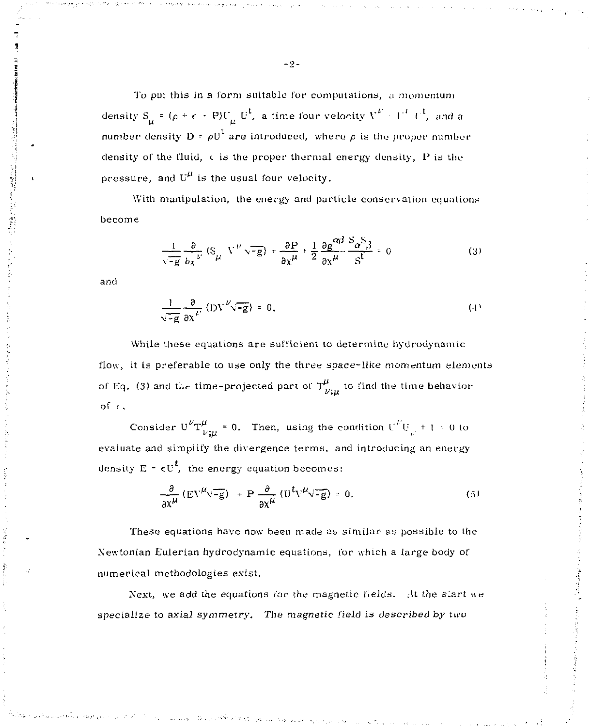To put this in a form suitable for computations, a momentum density  $S_{\mu} = (\rho + \epsilon + P)U_{\mu} U^{\dagger}$ , a time four velocity  $V^{\mu} = U^{\dagger} U^{\dagger}$ , and a number density  $D = \rho U^{\dagger}$  are introduced, where  $\rho$  is the proper number density of the fluid, c is the proper thermal energy density, *I'* is the pressure, and  $U^{\mu}$  is the usual four velocity.

With manipulation, the energy and particle conservation equations become

$$
\frac{1}{\sqrt{-g}} \frac{\partial}{\partial x} (S_{\mu} V^{\nu} \sqrt{-g}) + \frac{\partial P}{\partial x^{\mu}} + \frac{1}{2} \frac{\partial g^{\alpha\beta}}{\partial x^{\mu}} \frac{S_{\alpha} S_{\beta}}{S^{\xi}} = 0
$$
 (3)

and

$$
\frac{1}{\sqrt{-g}} \frac{\partial}{\partial x} \left( D V^{V} \sqrt{-g} \right) = 0.
$$
 (4)

While these equations are sufficient to determine hydrodynamic flow, it is preferable to use only the three space-like momentum elements of Eq. (3) and the time-projected part of  $T_{\nu;\mu}^{\mu}$  to find the time behavior **of < ,** 

Consider  $U^V T^{\mu}_{\nu m} = 0$ . Then, using the condition  $U^V U_{\mu} + 1 = 0$  to evaluate and simplify the divergence terms, and introducing an energy density  $E = \epsilon U^t$ , the energy equation becomes:

$$
\frac{\partial}{\partial x^{\mu}}\left(\mathbf{E}V^{\mu}\sqrt{-g}\right) + \mathbf{P}\frac{\partial}{\partial x^{\mu}}\left(U^{\dagger}V^{\mu}\sqrt{-g}\right) = 0.
$$
 (5)

These equations have now been made as similar as possible to the Newtonian Eulerian hydrodynamic equations, for which a large body of numerical methodologies exist.

Next, we add the equations for the magnetic fields. At the slart we specialize to axial symmetry. The magnetic field is described by two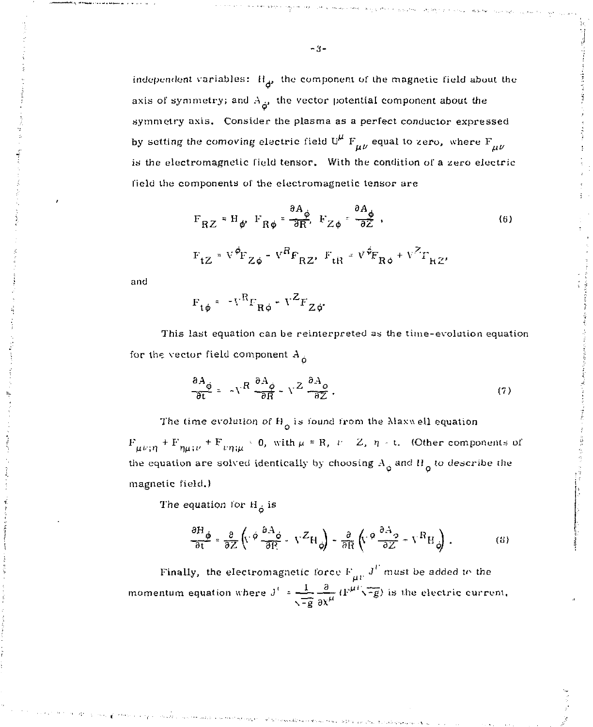independent variables:  $H_{\mathcal{A}}$ , the component of the magnetic field about the axis of symmetry; and  $A_{\vec{p}}$ , the vector potential component about the symmetry axis. Consider the plasma as a perfect conductor expressed by setting the comoving electric field U<sup>H</sup>  $F_{\mu\nu}$  equal to zero, where  $F_{\mu\nu}$ is the electromagnetic field tensor. With the condition of a zero electric field the components of the electromagnetic tensor are

$$
F_{RZ} = H_{\phi} F_{R\phi} = \frac{\partial A_{\phi}}{\partial R}, \quad F_{Z\phi} = \frac{\partial A_{\phi}}{\partial Z}, \tag{6}
$$

$$
\mathbf{F}_{\mathbf{t}\mathbf{Z}} = \mathbf{V}^{\phi} \mathbf{F}_{\mathbf{Z}\phi} - \mathbf{V}^{\mathbf{R}} \mathbf{F}_{\mathbf{R}\mathbf{Z}}, \ \mathbf{F}_{\mathbf{t}\mathbf{R}} = \mathbf{V}^{\phi} \mathbf{F}_{\mathbf{R}\phi} + \mathbf{V}^{\mathbf{Z}} \mathbf{r}_{\mathbf{R}\mathbf{Z}}.
$$

and

$$
\mathbf{F}_{\mathbf{t}\phi} = -\mathbf{V}^{\mathbf{R}}\mathbf{F}_{\mathbf{R}\phi} - \mathbf{V}^{\mathbf{Z}}\mathbf{F}_{\mathbf{Z}\phi^*}
$$

This last equation can be reinterpreted as the time-evolution equation for the vector field component  $A_{\hat{p}}$ 

$$
\frac{\partial A_{\phi}}{\partial t} = -v^R \frac{\partial A_{\phi}}{\partial R} - v^Z \frac{\partial A_{\phi}}{\partial Z}.
$$
 (7)

The time evolution of  $H_0$  is found from the Maxwell equation

*p* 

 $F_{\mu\nu;\eta} + F_{\eta\mu;\nu} + F_{\nu\eta;\mu} = 0$ , with  $\mu = R$ ,  $\nu = Z$ ,  $\eta = t$ . (Other components of the equation are solved identically by choosing  $A_{\dot{0}}$  and  $H_{\dot{0}}$  to describe the magnetic field.)

The equation for H *,* is

$$
\frac{\partial H_{\phi}}{\partial t} = \frac{\partial}{\partial Z} \left( \nabla \phi \frac{\partial A_{\phi}}{\partial P} - \nabla^{Z} H_{\phi} \right) - \frac{\partial}{\partial R} \left( \nabla \phi \frac{\partial A_{\phi}}{\partial Z} - \nabla^{R} H_{\phi} \right) \,, \tag{8}
$$

Finally, the electromagnetic force  $F_{\mu\nu} J^U$  must be added to the momentum equation where  $J' = \frac{1}{\sqrt{-g}} \frac{\partial}{\partial x^{\mu}} (F^{\mu \nu} \sqrt{-g})$  is the electric current,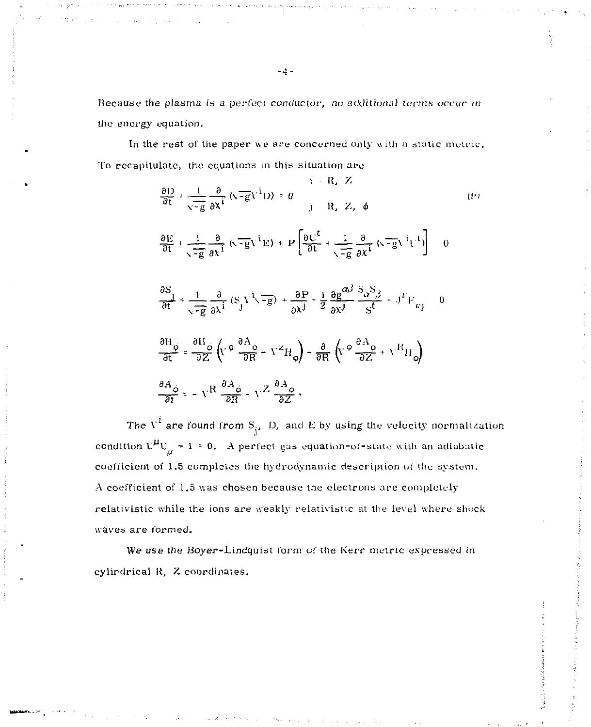Because the plasma is a perfect conductor, no additional terms occur in the *energy* equation.

In the rest *oi'* the paper we are concerned only with a static metric. To recapitulate, the equations in this situation are

$$
\frac{\partial D}{\partial t} + \frac{1}{\sqrt{-g}} \frac{\partial}{\partial x} (\sqrt{-g}V^{i}D) = 0
$$
\n
$$
\frac{\partial E}{\partial t} + \frac{1}{\sqrt{-g}} \frac{\partial}{\partial x^{i}} (\sqrt{-g}V^{i}D) + P \left[ \frac{\partial U^{t}}{\partial t} + \frac{1}{\sqrt{-g}} \frac{\partial}{\partial x^{i}} (\sqrt{-g}V^{i}V^{i}) \right] = 0
$$
\n
$$
\frac{\partial S}{\partial t} + \frac{1}{\sqrt{-g}} \frac{\partial}{\partial x^{i}} (\sqrt{-g}V^{i}E) + P \left[ \frac{\partial U^{t}}{\partial t} + \frac{1}{\sqrt{-g}} \frac{\partial}{\partial x^{i}} (\sqrt{-g}V^{i}V^{i}) \right] = 0
$$
\n
$$
\frac{\partial S}{\partial t} + \frac{1}{\sqrt{-g}} \frac{\partial}{\partial x^{i}} (S_{j}V^{i} \sqrt{-g}) + \frac{\partial P}{\partial x^{j}} + \frac{1}{2} \frac{\partial g}{\partial x^{j}} \frac{\partial S_{j}^{2}}{\partial x^{j}} + J^{F}V_{F^{j}} = 0
$$
\n
$$
\frac{\partial H}{\partial t} \frac{\partial}{\partial t} = \frac{\partial H}{\partial Z} \left( V \cdot \theta \frac{\partial A_{0}}{\partial R} - V^{Z}H_{0} \right) - \frac{\partial}{\partial R} \left( V \cdot \theta \frac{\partial A_{0}}{\partial Z} + V^{H}H_{0} \right)
$$
\n
$$
\frac{\partial A_{0}}{\partial t} = -V^{R} \frac{\partial A_{0}}{\partial R} - V^{Z} \frac{\partial A_{0}}{\partial Z},
$$
\n(2)

The  $V^{\hat{i}}$  are found from  $S_{\hat{i}}$ , D, and E by using the velocity normalization condition  $U^{\mu}U_{\mu} \neq 1 = 0$ . A perfect gas equation-of-state with an adiabatic coefficient of 1.5 completes the hydrodynamic description of the system. *A* coefficient of 1.5 was chosen because the electrons are completely relativistic while the ions are weakly relativistic at the level where shock waves are formed.

We use the Boyer-Lindquist form of the Kerr metric expressed in cylirdrical K, Z coordinates.

$$
\neg 4 =
$$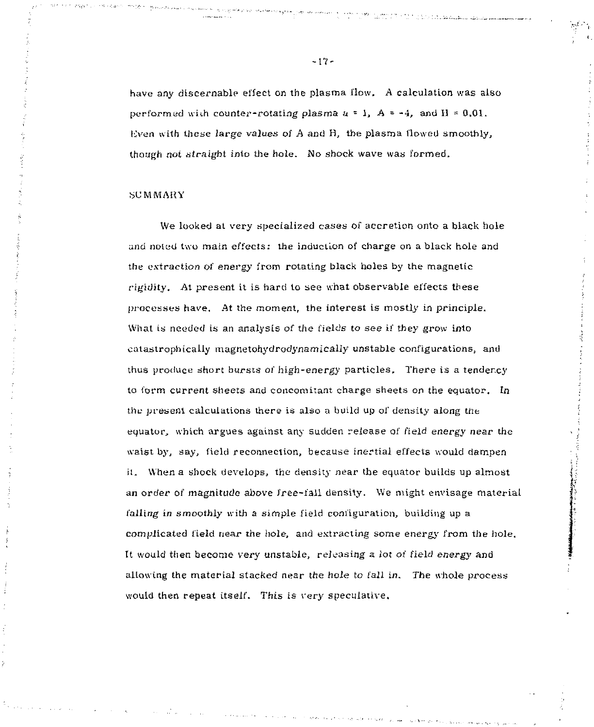have any discernable effect on the plasma flow. A calculation was also performed with counter-rotating plasma  $a = 1$ ,  $A = -4$ , and  $H = 0.01$ . Even with these large values of  $A$  and  $B$ , the plasma flowed smoothly, though not straight into the hole. No shock wave was formed.

## **SUMMARY**

We looked at very specialized cases of accretion onto a black hole and noted two main effects; the induction of charge on a black hole and the extraction of energy from rotating black holes by the magnetic rigidity. At present it is hard to see what observable effects these processes have. At the moment, the interest Is mostly in principle. What is needed is an analysis of the fields to see if they grow into catastrophically magnetohydrodynamicaliy unstable configurations, and thus produce short bursts of high-energy particles. There is a tendency to form current sheets and concomitant charge sheets on the equator. *In*  the present calculations there is also a build up of density along the equator, which argues against any sudden release of field energy near the waist by, say, field reconnection, because inertial effects would dampen it. When a shock develops, the density near the equator builds up almost an order of magnitude above free-fall density. We might envisage material falling in smoothly with a simple field configuration, building up a complicated field near the hole, and extracting some energy from the hole. It would then become very unstable, releasing a lot of field energy and allowing the material stacked near the hole to fall in. The whole process would then repeat itself. This is very speculative.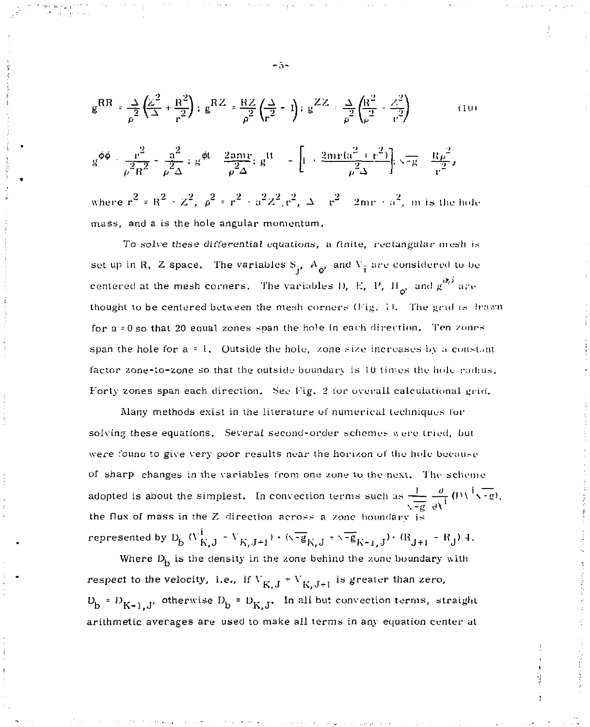$$
g^{RR} = \frac{1}{\rho^2} \left( \frac{Z^2}{\Delta} + \frac{R^2}{r^2} \right); \ g^{RZ} = \frac{RZ}{\rho^2} \left( \frac{\Delta}{r^2} - 1 \right); \ g^{ZZ} = \frac{1}{\rho^2} \left( \frac{R^2}{\rho^2} - \frac{Z^2}{r^2} \right)
$$
(10)

$$
g^{\varphi\varphi}+\frac{r^2}{\rho^2R^2}+\frac{a^2}{\rho^2\Delta}+g^{\varphi t}-\frac{2amr}{\rho^2\Delta};\,g^{tt}=-\left[1+\frac{2mr(\alpha^2+r^2)}{\rho^2\Delta}\right];\,\sqrt{-g}-\frac{R\rho^2}{r^2},
$$

where  $r^2 = R^2 + Z^2$ ,  $\rho^2 = r^2 + a^2 Z^2$ ,  $r^2$ ,  $\Delta = r^2 - 2mr + a^2$ , m is the hole where  $r_{\rm eff}$  is the ratio  $r_{\rm eff}$  and  $r_{\rm eff}$  and the time time time the time time time that the time time

To solve these differential equations, a finite, rectangular mesh is set up in R, Z space. The variables  $S_{\mathbf{i}}$ ,  $A_{\mathbf{i}}$  and  $V_{\mathbf{i}}$  are considered to be set up in R,  $\frac{1}{2}$  or  $\frac{Q}{2}$  . The variables D, E, P, H<sub>e</sub>, and  $g^{(R_1)}$  are centered at the mesh corners. The variables I), *E,* 1<sup>J</sup> , II , and g' ' are for  $a = 0$  so that 20 equal zones span the hole in each direction. Then zones span the hole for a = 1. Outside the hole, zone size increases by a constant factor zone-to-zone so that the outside boundary is 10 times the hole radius. Forty zones span each direction. See Fig. 2 for overall calculational grid.

Many methods exist in the literature of numerical techniques for solving these equations. Several second-order schemes were tried, but were found to give very poor results near the horizon of the hole because of sharp changes in the variables from one zone to the next. The scheme adopted is about the simplest. In convection terms such as  $\frac{1}{\sqrt{\pi}} \int_0^1 (1)^{\frac{1}{2}} \sqrt{-g}$ . the flux of mass in the Z direction across a zone boundary  $\frac{v}{2}$ . represented by  $\mathbf{D}_k$   $(\overline{V}_{k-1}^i - \overline{V}_{k-1+1}) \cdot (\sqrt{-g}_{k-1} + \sqrt{-g}_{k-1+1}) \cdot (\overline{R}_{1+1} - \overline{R}_{1+1})$ 

Where  $D_0$  is the density in the zone behind the zone boundary with respect to the velocity, i.e., if  $V_{K,J} + V_{K,J+1}$  is greater than zero,  $D_b = D_{K-1,J'}$  otherwise  $D_b = D_{K,J'}$  In all but convection terms, straight arithmetic averages are used to make all terms in any equation center at

-5-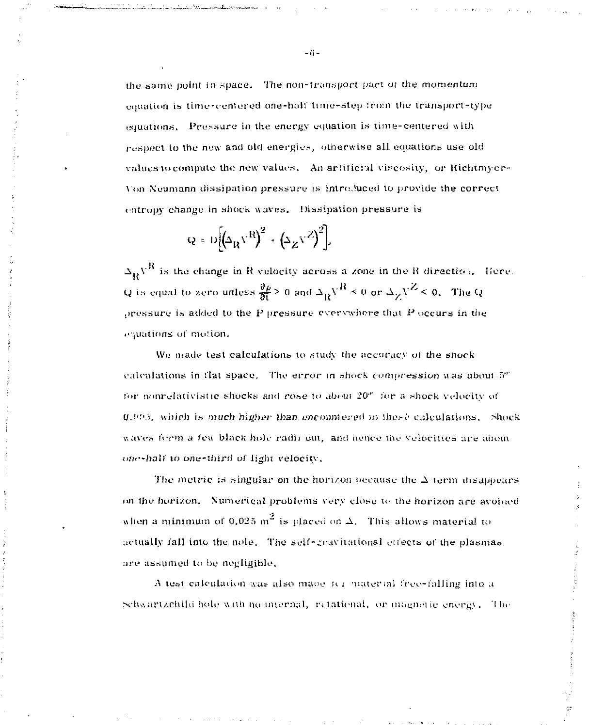the same point in space. The non-transport part of the momentum equation is time-centered one-half time-step from the transport-type equations. Pressure in the energy equation is time-centered with respect to the new and old energies, otherwise all equations use old values to compute the new values. An artificial viscosity, or Richtmyer-Von Neumann dissipation pressure is introduced to provide the correct entropy change in shock waves. Dissipation pressure is

$$
Q = D\left[\left(\Delta_{R}V^{R}\right)^{2} + \left(\Delta_{Z}V^{Z}\right)^{2}\right],
$$

 $\Delta_{\mathbf{p}}\mathbf{V}^{\mathbf{R}}$  is the change in R velocity across a zone in the R direction. Here, Q is equal to zero unless  $\frac{\partial \rho}{\partial t} > 0$  and  $\Delta_R V^R \le 0$  or  $\Delta_Z V^Z \le 0$ . The Q pressure is added to the P pressure everywhere that  $P$  occurs in the equations of motion.

We made test calculations to study the accuracy of the snock calculations in flat space. The error in shock compression was about  $5<sup>n</sup>$ for nonrelativistic shocks and rose to about 20" for a shock velocity of 0.005, which is much higher than encountered in these calculations. Shock waves form a few black hole radii out, and hence the velocities are about one-half to one-third of light velocity,

The metric is singular on the horizon because the  $\Delta$  term disappears on the horizon. Numerical problems very close to the horizon are avoided when a minimum of 0.025 m<sup>2</sup> is placed on  $\Delta$ . This allows material to actually fall into the nole. The self-gravitational effects of the plasmas are assumed to be negligible.

A test calculation was also made for material free-falling into a Schwartzchild hole with no internal, retational, or magnetic energy. The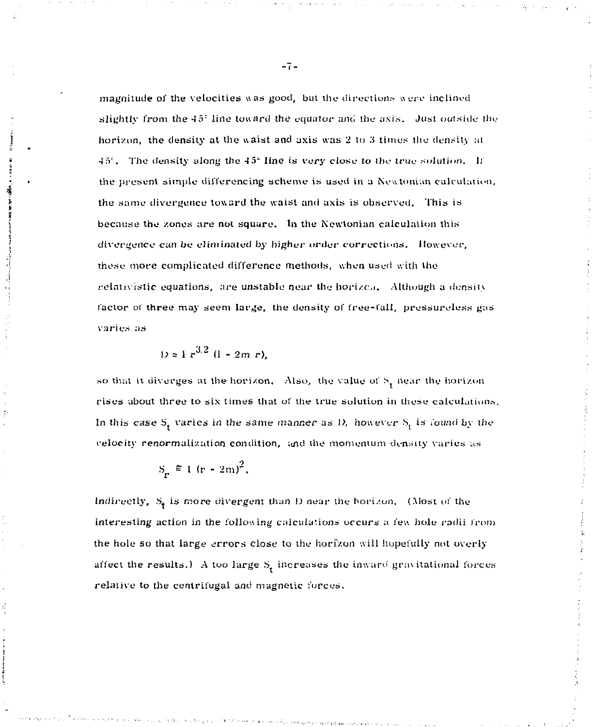magnitude of the velocities was good, but the directions were inclined slightly from the  $45^\circ$  line toward the equator and the axis. Just outside the horizon, the density at the waist and axis was 2 to 3 times the density at 45<sup>c</sup>. The density along the 45<sup>e</sup> line is very close to the true solution. If the present simple differencing scheme is used in a Newtonian calculation, the same divergence toward the waist and axis is observed. This is because the zones are not square. In the Newtonian calculation this divergence can be eliminated by higher *unlet-* corrections. However, these more complicated difference methods, when used with the relativistic equations, are unstable near the horizen. Although a density factor of three may seem large, the density of free-fall, pressureless gas varies as

$$
D \approx 1 r^{3/2} (1 - 2m r),
$$

so that it diverges at the horizon. Also, the value of S<sub>1</sub> near the horizon rises about three to six times that ol' the true solution in these calculations. In this case  $S_t$  varies in the same manner as D, however  $S_t$  is found by the velocity renormalization condition, und the momentum density varies as

$$
S_{\mathbf{r}} \triangleq 1 \left( \mathbf{r} - 2\mathbf{m} \right)^2
$$

Indirectly, S<sub>t</sub> is more divergent than *I)* near the horizon. (Most of the interesting action in the following calculations occurs a few hole radii t'rom the hole so that large errors close to the horizon will hopefully not overly affect the results.) A too large  $S<sub>r</sub>$  increases the inward gravitational forces relative to the centrifugal and magnetic forces.

 $-7-$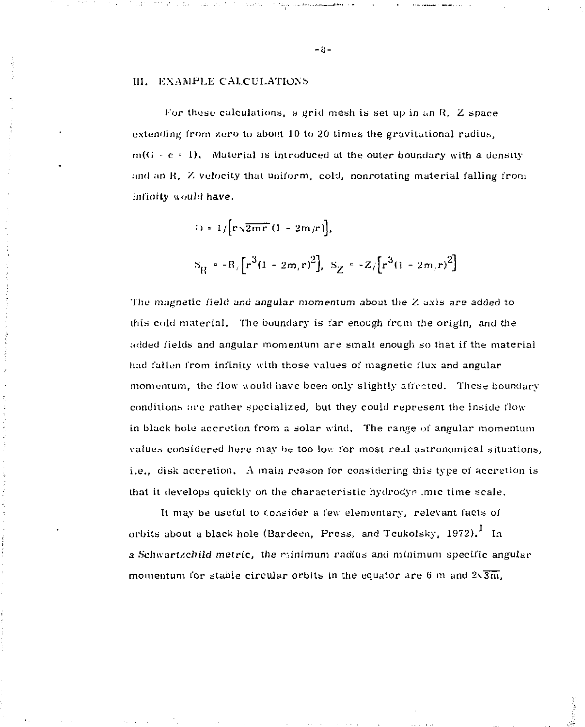## 111. EXAMPLE CALCULATIONS

For these calculations, a grid mesh is set up in an R.  $Z$  space extending from zero to about 10 to 20 times the gravitational radius,  $m(G - c + 1)$ , Material is introduced at the outer boundary with a density and an R, Z velocity that uniform, cold, nonrotating material falling from infinity would have.

$$
0 = 1/\Big[\mathbf{r}\sqrt{2mr}\,(1 - 2m/r)\Big],
$$
  

$$
S_{\rm R} = -R/\Big[r^3(1 - 2m/r)^2\Big], S_{\rm Z} = -Z/\Big[r^3(1 - 2m/r)^2\Big]
$$

'1 lie magnetic field and angular momentum about the Z axis are added to this cold material. The boundary is far enough (rem the origin, and the added fields and angular momentum are small enough so that if the material had fallen from infinity with those values of magnetic flux and angular momentum, the flow would have been only slightly affected. These boundary conditions are rather specialized, but they could represent the inside flowin black hole accretion from a solar wind. The range of angular momentum values considered here may be too low for most real astronomical situations. i.e., disk accretion. A main reason for considering this type of accretion is that it develops quickly on the characteristic hydrodyn .mic time scale.

It may be useful to consider a few elementary, relevant facts of orbits about a black hole (Bardeen, Press, and Teukolsky,  $1972$ ).<sup>1</sup> In a Schwartzchild metric, the rainimum radius and minimum specific angular momentum for stable circular orbits in the equator are 6 m and  $2\sqrt{3m}$ ,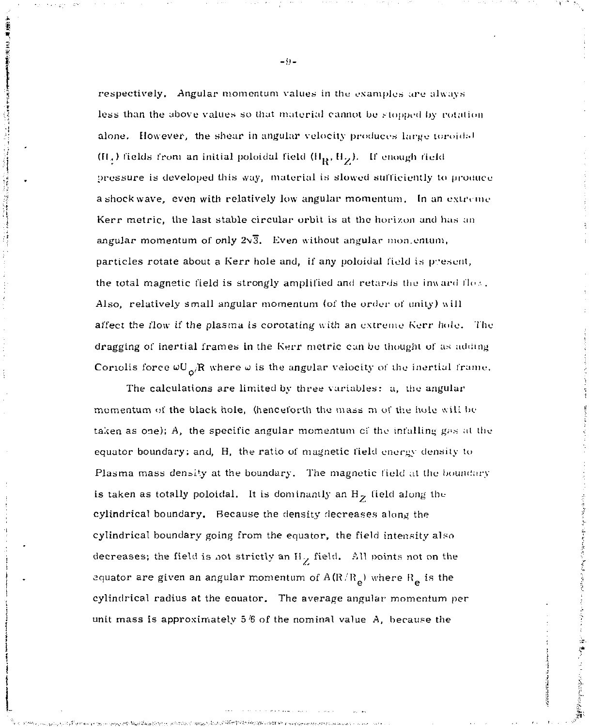respectively. Angular momentum values in the examples are always less than the above values so that material cannot be stopped by rotation alone. However, the shear in angular velocity produces large toroidal (H<sub>x</sub>) fields from an initial poloidal field  $(H_R, H_Z)$ . If enough field pressure is developed this way, material is slowed sufficiently to produce a shock wave, even with relatively low angular momentum. In an extreme Kerr metric, the last stable circular orbit is at the horizon and has an angular momentum of only  $2\sqrt{3}$ . Even without angular montentum, particles rotate about a Kerr hole and, if any poloidal field is present, the total magnetic field is strongly amplified and retards the inward flox. Also, relatively small angular momentum (of the order of unity) will affect the flow if *the* plasma is corotating with an extreme Kerr hole. The dragging of inertial frames in the Kerr metric can be thought of as adding Coriolis force  $\omega U_{\alpha}/R$  where  $\omega$  is the angular velocity of the inertial frame.

The calculations are limited by three variables: a, the angular momentum of the black hole, (henceforth the mass m of the hole will lie taken as one);  $A$ , the specific angular momentum of the infalling gas at the equator boundary; and, H, the ratio of magnetic field energy density to Plasma mass density at the boundary. The magnetic field at the boundary is taken as totally poloidal. It is dominantly an  $H<sub>z</sub>$  field along the cylindrical boundary. Because the density decreases along the cylindrical boundary going from the equator, the field intensity also decreases; the field is not strictly an H<sub>12</sub> field. All points not on the equator are given an angular momentum of  $A(R/R<sub>e</sub>)$  where  $R<sub>e</sub>$  is the cylindrical radius at the equator. The average angular momentum per unit mass is approximately 5 *!6* of the nominal value *A,* because the

無法を見る こうしょう なま

 $-9-$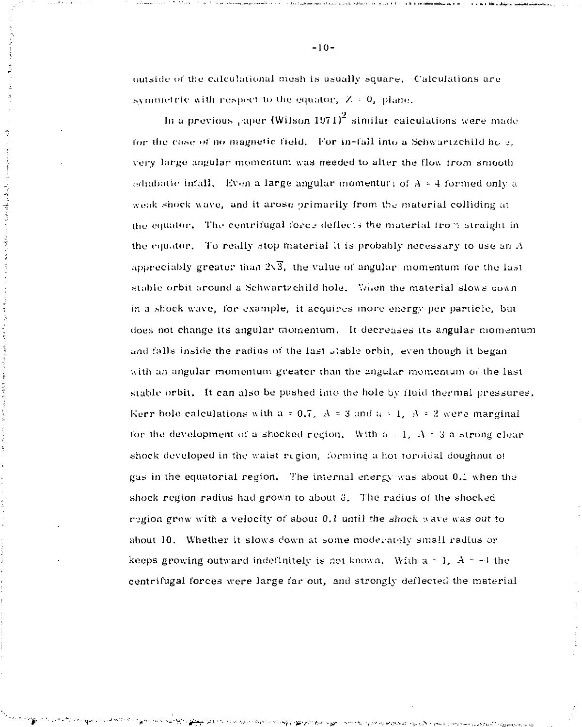outside of the calculational mesh is usually square. Calculations are symmetric with respect to the equator,  $Z \approx 0$ , plane.

 $\frac{1}{2}$   $\frac{1}{2}$   $\frac{1}{2}$   $\frac{1}{2}$   $\frac{1}{2}$   $\frac{1}{2}$   $\frac{1}{2}$   $\frac{1}{2}$   $\frac{1}{2}$   $\frac{1}{2}$   $\frac{1}{2}$   $\frac{1}{2}$   $\frac{1}{2}$   $\frac{1}{2}$   $\frac{1}{2}$   $\frac{1}{2}$   $\frac{1}{2}$   $\frac{1}{2}$   $\frac{1}{2}$   $\frac{1}{2}$   $\frac{1}{2}$   $\frac{1}{2}$ 

In a previous , super (Wilson 1971)<sup>2</sup> similar calculations were made for the case of no magnetic field. For in-fail into a Schwartzchild ho  $\sigma$ . very large angular momentum was needed to alter the flow from smooth adiabatic infall. Even a large angular momentur; of  $A = 4$  formed only a weak shock wave, and it arose primarily from the material colliding at the equator. The centrifugal force deflects the material from straight in the equator. To really stop material It is probably necessary to use an *A*  appreciably greater than  $2\sqrt{3}$ , the value of angular momentum for the last stable orbit around a Schwartzchild hole. When the material slows down in a shock wave, for example, it acquires more energy per particle, but does not change its angular momentum. It decreases its angular momentum and falls inside the radius of the last stable orbit, even though it began with an angular momentum greater than the angular momentum of the last stable orbit. It can also be pushed into the hole by fluid thermal pressures'. Kerr hole calculations with  $a = 0.7$ ,  $A \approx 3$  and  $a \approx 1$ ,  $A \approx 2$  were marginal for the development of a shocked region. With  $a - 1$ ,  $A = 3$  a strong clear shock developed in the waist region, forming a hot toroidal doughnut of gas in the equatorial region. The internal energy was about 0.1 when the shock region radius had grown to about  $3$ . The radius of the shocked region grew with a velocity of about 0.1 until the shock wave was out to about 10. Whether it slows down at some moderately small radius or keeps growing outward indefinitely is not known. With  $a = 1$ ,  $A = -4$  the centrifugal forces were large far out, and strongly deflected the material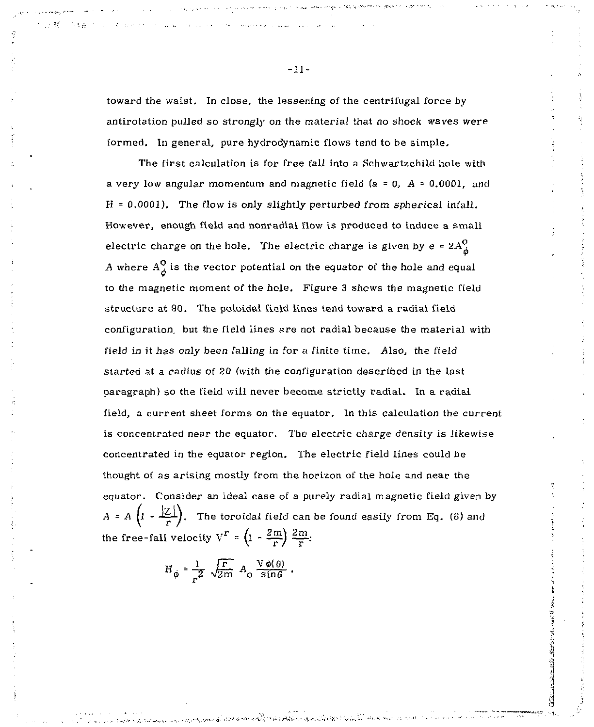toward the waist. In close, the lessening of the centrifugal force by antirotation pulled so strongly on the material that no shock waves were formed. In general, pure hydrodynamic flows tend to be simple.

The first calculation is for free fall into a Schwartzchild hole with a very low angular momentum and magnetic field (a = 0, *A =* 0.0001, and  $H = 0.0001$ ). The flow is only slightly perturbed from spherical infall. However, enough field and nonradial flow is produced to induce a small electric charge on the hole. The electric charge is given by  $e = 2A<sub>A</sub><sup>o</sup>$ A where  $A_{\lambda}^{O}$  is the vector potential on the equator of the hole and equal to the magnetic moment of the hole. Figure 3 shews the magnetic field structure at 90. The poloidal field lines tend toward a radial field configuration, but the field lines are not radial because the material with field in it has only been falling in for a finite time. Also, the field started at a radius of 20 (with the configuration described in the last paragraph) so the field will never become strictly radial. In a radial field, a current sheet forms on the equator. In this calculation the current is concentrated near the equator. The electric charge density is likewise concentrated in the equator region. The electric field lines could be thought of as arising mostly from the horizon of the hole and near the equator. Consider an ideal case of a purely radial magnetic field given by *A* = *A*  $\left(1 - \frac{|\mathcal{Z}|}{r}\right)$ , The toroidal field can be found easily from Eq. (8) and the free-fall velocity  $V^r = \left(1 - \frac{2\pi i}{r} \right) \frac{2\pi i}{r^2}$ ;

$$
H_{\phi} = \frac{1}{r^2} \sqrt{\frac{r}{2m}} A_0 \frac{V \phi(\theta)}{\sin \theta}.
$$

 $-11-$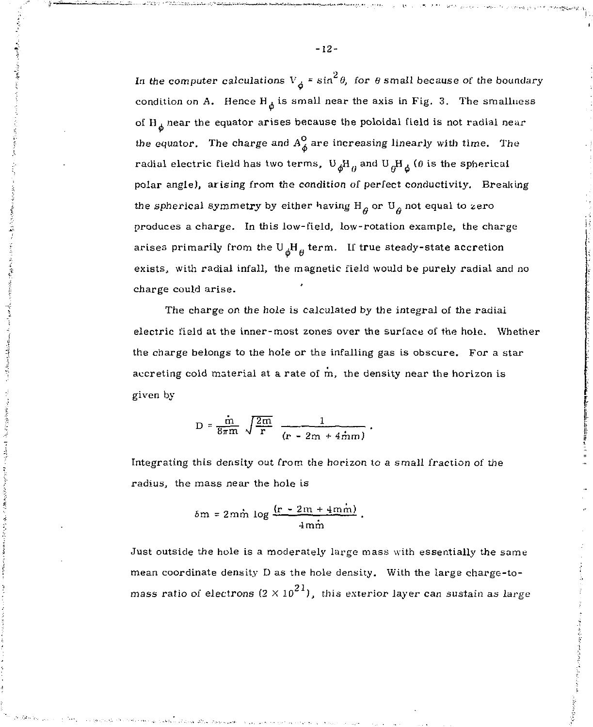In the computer calculations  $V_{\dot{a}}$  = sin<sup>2</sup> $\theta$ , for  $\theta$  small because of the boundary condition on A. Hence  $H_A$  is small near the axis in Fig. 3. The smallness of  $H_A$  near the equator arises because the poloidal field is not radial near the equator. The charge and  $A_{\phi}^{\circ}$  are increasing linearly with time. The radial electric field has two terms,  $U_{\phi}H_{\mu}$  and  $U_{\phi}H_{\phi}$  ( $\theta$  is the spherical polar angle), arising from the condition of perfect conductivity. Breaking the spherical symmetry by either having  $H<sub>a</sub>$  or  $U<sub>a</sub>$  not equal to zero produces a charge. In this low-field, low-rotation example, the charge arises primarily from the  $U_A H_A$  term. If true steady-state accretion exists, with radial infall, the magnetic field would be purely radial and no charge could arise.

The charge on the hole is calculated by the integral of the radial electric field at the inner-most zones over the surface of the hole. Whether the charge belongs to the hole or the infalling gas is obscure. For a star accreting cold material at a rate of m, the density near the horizon is given by

$$
D = \frac{\dot{m}}{8\pi m} \sqrt{\frac{2m}{r}} \frac{1}{(r - 2m + 4\dot{m}m)}.
$$

Integrating this density out from the horizon to a small fraction of the radius, the mass near the hole is

$$
\delta m = 2m\dot{m} \log \frac{(r-2m+4m\dot{m})}{4m\dot{m}}.
$$

Just outside the hole is a moderately large mass with essentially the same mean coordinate density D as the hole density. With the large charge-tomass ratio of electrons  $(2 \times 10^{21})$ , this exterior layer can sustain as large

-12-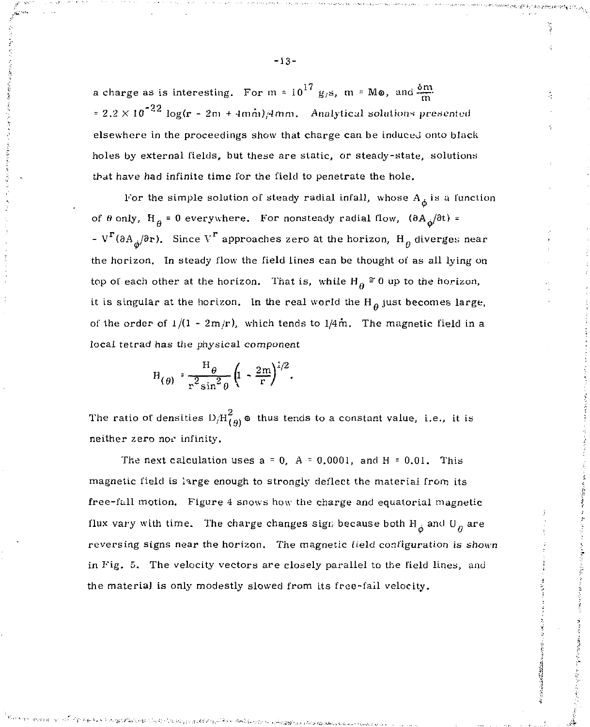a charge as is interesting. For  $m = 10^{17}$  g<sub>/</sub>s,  $m = M\omega$ , and  $\frac{\delta m}{m}$ = 2.2  $\times$  10<sup>-22</sup> log(r - 2m + 4mm)/4mm. Analytical solutions presented elsewhere in the proceedings show that charge can be induced onto black holes by external fields, but these are static, or steady-state, solutions that have had infinite time for the field to penetrate the hole.

For the simple solution of steady radial infall, whose  $A_{\phi}$  is a function of  $\theta$  only,  $H_{\theta} = 0$  everywhere. For nonsteady radial flow,  $(\theta A_{\phi}/\theta t) =$ - V<sup>r</sup>( $\partial A_{\mu}/\partial r$ ). Since V<sup>r</sup> approaches zero at the horizon, H<sub>a</sub> diverges near the horizon. In steady flow the field lines can be thought of as all lying on top of each other at the horizon. That is, while  $H_{\rho} \approx 0$  up to the horizon, it is singular at the horizon. In the real world the  $H<sub>A</sub>$  just becomes large, of the order of  $1/(1 - 2m/r)$ , which tends to  $1/4m$ . The magnetic field in a local tetrad has the physical *component* 

$$
H_{(\theta)} \cdot \frac{H_{\theta}}{r^2 \sin^2 \theta} \left(1 - \frac{2m}{r}\right)^{1/2}.
$$

The ratio of densities  $D/H_{(A)}^2$   $\circ$  thus tends to a constant value, i.e., it is neither zero nor infinity.

The next calculation uses  $a = 0$ ,  $A = 0.0001$ , and  $H = 0.01$ . This magnetic field is large enough to strongly deflect the material from its free-fall motion. Figure 4 snows how the charge and equatorial magnetic flux vary with time. The charge changes sign because both  $H_{\phi}$  and  $U_{\theta}$  are reversing signs near the horizon. *The* magnetic field configuration is shown in Fig. 5. The velocity vectors are closely parallel to the field lines, and the materia] is only modestly slowed from its free-fail velocity.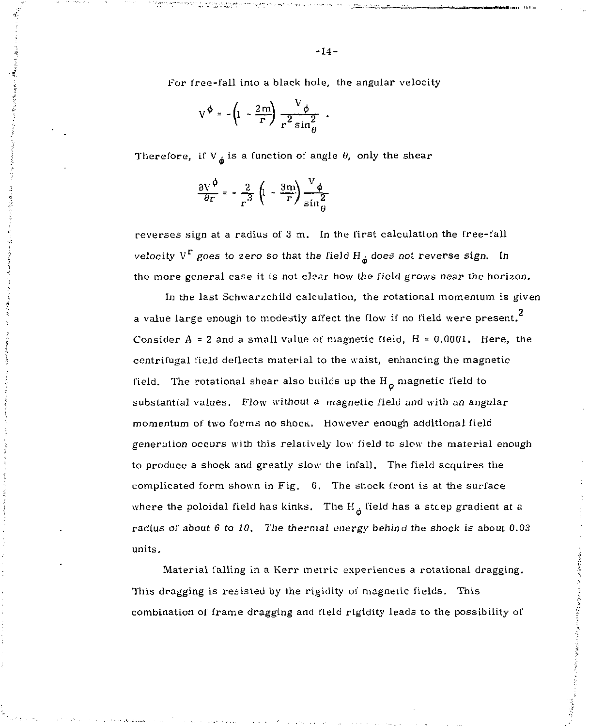For free-fall into a black hole, the angular velocity

$$
V^{\phi} = -\left(1 - \frac{2m}{r}\right) \frac{V_{\phi}}{r^2 \sin{\theta}^2}
$$

Therefore, if  $V_A$  is a function of angle  $\theta$ , only the shear

$$
\frac{\partial V}{\partial r} = -\frac{2}{r^3} \left( 1 - \frac{3m}{r} \right) \frac{V_{\phi}}{\sin^2 A}
$$

reverses sign at a radius of 3 m. In the first calculation the free-fall velocity  $V^{\Gamma}$  goes to zero so that the field  $H_{\star}$  does not reverse sign. In the more general case it is not clear how the field grows near the horizon.

In the last Schwarzchild calculation, the rotational momentum is given a value large enough to modestly affect the flow if no field were present. $^{\rm 2}$ Consider  $A = 2$  and a small value of magnetic field,  $H = 0.0001$ . Here, the centrifugal field deflects material to the waist, enhancing the magnetic field. The rotational shear also builds up the  $H_A$  magnetic field to substantial values. Flow without a magnetic field and with an angular momentum of two forms no shock. However enough additional field generation occurs with this relatively low field to slow the material enough to produce a shock and greatly slow the infall. The field acquires the complicated form shown in Fig. 6. The shock front is at the surface where the poloidal field has kinks. The  $H_{\dot{a}}$  field has a steep gradient at a radius of about  $6$  to  $10$ . The thermal energy behind the shock is about 0.03 units.

Material falling in a Kerr metric experiences a rotational dragging. This dragging is resisted by the rigidity of magnetic fields. This combination of frame dragging and field rigidity leads to the possibility of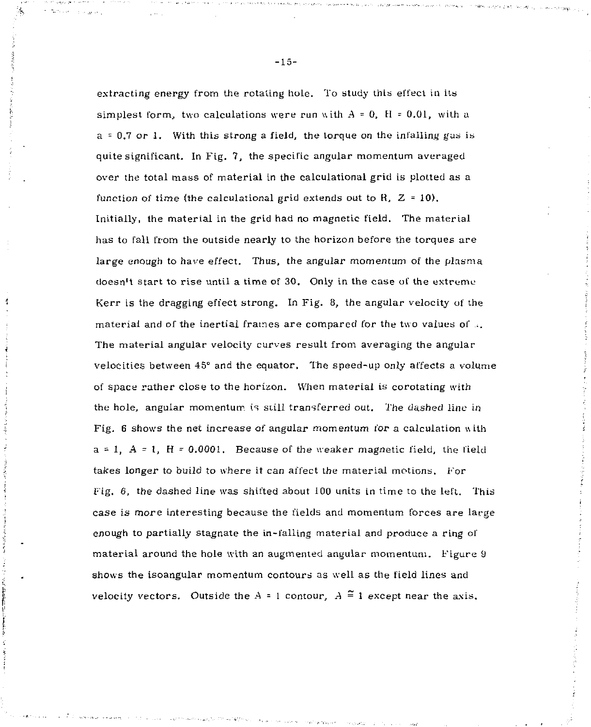extracting energy from the rotating hole. To study this effect in its simplest form, two calculations were run with  $A = 0$ ,  $H = 0.01$ , with a a = 0.7 or 1. With this strong a field, the torque on the infalliny gas is quite significant. In Fig. 7, the specific angular momentum averaged over the total mass of material in the calculational grid is plotted as a function of time (the calculational grid extends out to R,  $Z = 10$ ). Initially, the material in the grid had no magnetic field. The material has to fall from the outside nearly to the horizon before the torques are large enough to have effect. Thus, the angular momentum of the plasma doesn't start to rise until a time of 30. Only in the case of the extreme Kerr is the dragging effect strong. In Fig. 8, the angular velocity of the material and of the inertial frames are compared for the two values of .. The material angular velocity curves result from averaging the angular velocities between 45° and the equator. The speed-up only affects a volume of space rather close to the horizon. When material is corotating with the hole, angular momentum, is still transferred out. The dashed line in Fig. 6 shows the net increase of angular momentum for a calculation «ith  $a = 1$ ,  $A = 1$ ,  $H = 0.0001$ . Because of the weaker magnetic field, the field takes longer to build to where it can affect the material motions. For Fig. 6, the dashed line was shifted about 100 units in time to the left. This case is more interesting because the fields and momentum forces are large enough to partially stagnate the in-falling material and produce a ring of material around the hole with an augmented angular momentum. Figure 9 shows the isoangular momentum contours as well as the field lines and velocity vectors. Outside the  $A = 1$  contour,  $A \stackrel{\sim}{=} 1$  except near the axis.

 $\frac{1}{4}$ 

-15-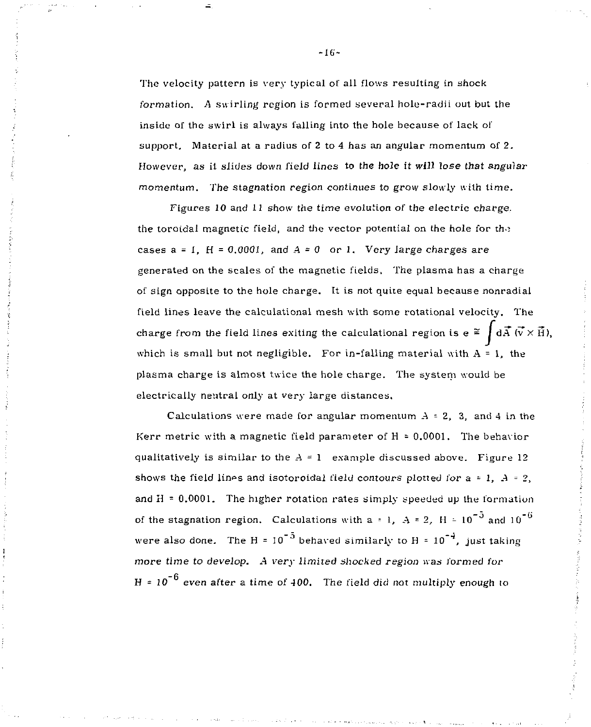The velocity pattern is very typical of all flows resulting in shock formation. *A* swirling region is formed several hole-radii out but the inside of the swirl is always falling into the hole because of lack of support. Material at a radius of 2 to 4 has an angular momentum of  $2$ . However, as it slides down field lines to the hole it will lose that angular momentum. The stagnation region continues to grow slowly with time.

Figures 10 and 11 show the time evolution of the electric charge, the toroidal magnetic field, and the vector potential on the hole for the cases  $a = 1$ ,  $H = 0.0001$ , and  $A = 0$  or 1. Very large charges are generated on the scales of the magnetic fields. The plasma has a charge of sign opposite to the hole charge. It is not quite equal because nonradial field lines leave the calculational mesh with some rotational velocity. The charge from the field lines exiting the calculational region is  $e \approx \int d\vec{A} \, (\vec{v} \times \vec{H})$ , which is small but not negligible. For in-falling material with  $A = 1$ , the plasma charge is almost twice the hole charge. The system would be electrically neutral only at very large distances.

Calculations were made for angular momentum  $A = 2$ , 3, and 4 in the Kerr metric with a magnetic field parameter of H = 0.0001. The behavior qualitatively is similar to the  $A = 1$  example discussed above. Figure 12 shows the field lines and isotoroidal field contours plotted for  $a = 1$ ,  $A = 2$ , and  $H = 0.0001$ . The higher rotation rates simply speeded up the formation of the stagnation region. Calculations with a = 1,  $A = 2$ ,  $H = 10^{-5}$  and  $10^{-6}$ were also done. The H =  $10^{-5}$  behaved similarly to H =  $10^{-4}$ , just taking more time to develop. A very limited shocked region was formed for H =  $10^{-6}$  even after a time of 400. The field did not multiply enough to

-16-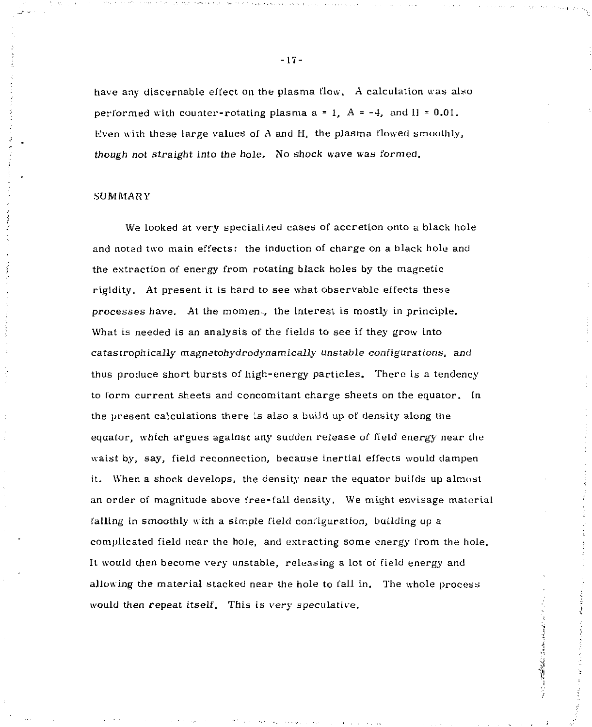have any discernable effect on the plasma flow. A calculation was also performed with counter-rotating plasma  $a = 1$ ,  $A = -4$ , and  $H = 0.01$ . Even with these large values of A and H, the plasma flowed smoothly, though not straight into the hole. No shock wave was formed.

### .SUMMARY

We looked at very specialized cases of accretion onto a black hole and noted two main effects: the induction of charge on a black hole and the extraction of energy from rotating black holes by the magnetic rigidity. At present it is hard to see what observable effects these processes have. At the momen., the interest is mostly in principle. What is needed is an analysis of the fields to see if they grow into catastrophically magnetohydrodynamically unstable configurations, and thus produce short bursts of high-energy particles. There is a tendency to form current sheets and concomitant charge sheets on the equator. In the present calculations there is also a build up of density along the equator, which argues against any sudden release of field energy near the waist by, say, field reconnection, because inertial effects would dampen it. When a shock develops, the density near the equator builds up almost an order of magnitude above free-fall density. We might envisage material falling in smoothly with a simple field configuration, building up a complicated field near the hole, and extracting some energy from the hole. It would then become very unstable, releasing a lot of field energy and allowing the material stacked near the hole to fall in. The whole process would then repeat itself. This is very speculative.

CONTRACTOR COMMUNICATION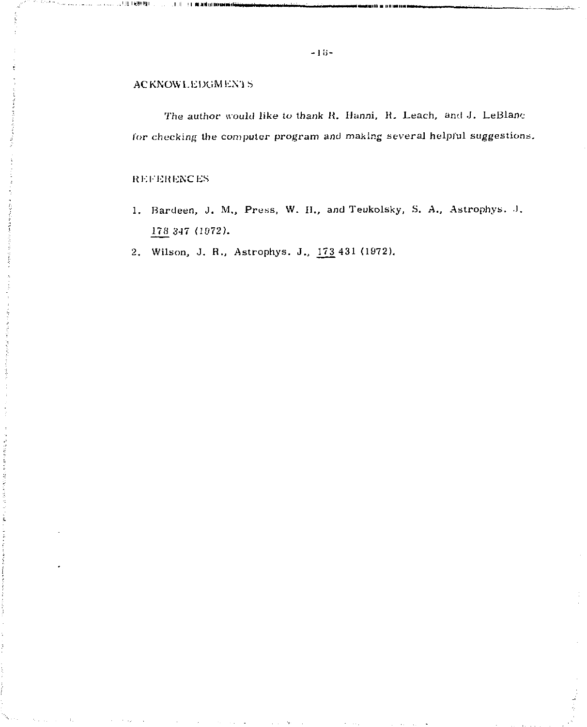## ACKNOWLEDGMENTS

The author would like to thank K. *Hunni. K.* Leach, and J. LeBlanc lor checking the computer program and making several helpful suggestions.

## REFERENCES<sup>1</sup>

- 1. Bardeen, J. M., Press, W. II., and Teukolsky, S. A., Astrophys. J. 178 347 (1972).
- 2. Wilson, J. R., Astrophys. J., 173 431 (1972).

**.'!l\*!l'!!| l .II I ' -•—•• ' •** *•r,* **i n '' |i • -| • , , • lir . - , Ml <sup>l</sup>** *•• r* **• .** *.\_^^*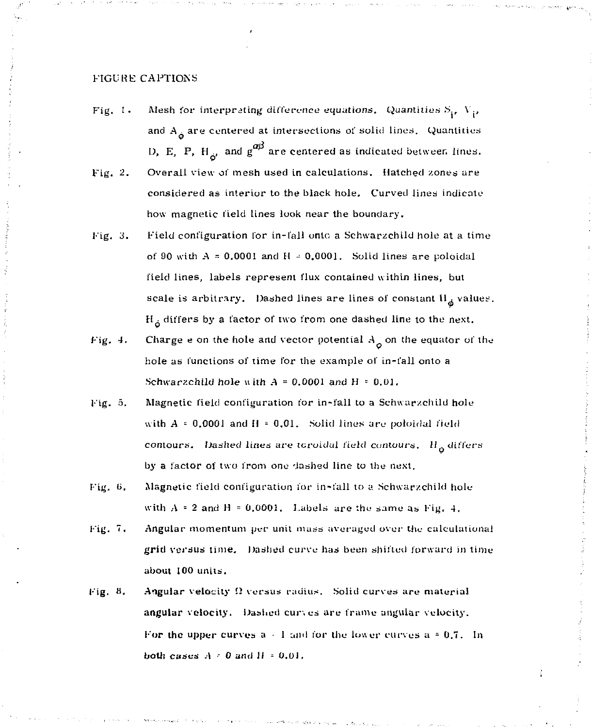### FIGURE CAPTIONS

Fig. 1. Mesh for interpreting difference equations. Quantities  $S_i$ ,  $V_i$ , and  $A_A$  are centered at intersections of solid lines. Quantities **D**, **E**, **P**, **H**<sub> $20$ </sub> and  $g^{ab}$  are centered as indicated between lines. Overall view of mesh used in calculations. Hatched zones are Fig. 2. considered as interior to the black hole. Curved lines indicate

how magnetic field lines look hear the boundary.

- Field configuration for in-fall onto a Schwarzchild hole at a time Fig. 3. of 90 with  $A = 0.0001$  and  $H = 0.0001$ . Solid lines are poloidal field lines, labels represent flux contained within lines, but scale is arbitrary. Dashed lines are lines of constant  $H_{\phi}$  values,  $H_{\dot{\alpha}}$  differs by a factor of two from one dashed line to the next.
- Charge e on the hole and vector potential  $A_{\alpha}$  on the equator of the Fig. 4. hole as functions of time for the example of in-fall onto a Schwarzchild hole with  $A = 0.0001$  and  $H = 0.01$ .
- Fig. 5. Magnetic field configuration for in-fall to a Schwarzchild hole with  $A = 0.0001$  and  $H = 0.01$ . Solid lines are poloidal field contours. Dashed lines are toroidal field contours. H<sub>o</sub> differs by a factor of two from one dashed line to the next.
- Magnetic field configuration for in-fall to a Schwarzchild hole Fig. 6. with  $A = 2$  and  $H = 0,0001$ . Labels are the same as Fig. 4.
- Fig. 7. Angular momentum per unit mass averaged over the calculational grid versus time. Dashed curve has been shifted forward in time  $\mathcal{L}_{\text{max}}$
- Fig. 8. Angular velocity  $\Omega$  versus radius. Solid curves are material angular velocity. Dashed curves are frame angular velocity. For the upper curves  $a + 1$  and for the lower curves  $a = 0.7$ . In both cases  $A = 0$  and  $H = 0.01$ .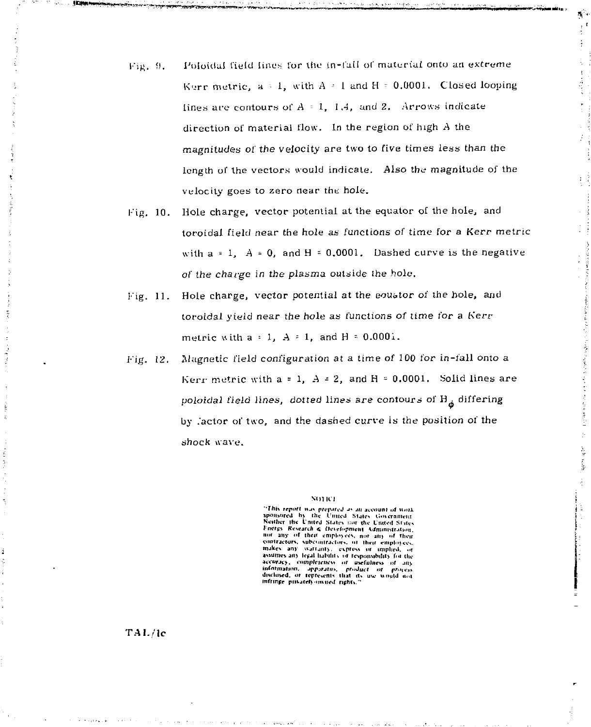- Poloidal field lines for the in-fall of material onto an extreme Fig. 9. Kerr metric,  $a \cdot 1$ , with  $A \cdot 1$  and  $H \cdot 0.0001$ . Closed looping lines are contours of  $A = 1$ , 1.4, and 2. Arrows indicate direction of material flow. In the region of high A the magnitudes of the velocity are two to five times less than the length of the vectors would indicate. Also the magnitude of the velocity goes to zero near the hole.
- Hole charge, vector potential at the equator of the hole, and Fig. 10. toroidal field near the hole as functions of time for a Kerr metric with  $a = 1$ ,  $A = 0$ , and  $H = 0.0001$ . Dashed curve is the negative of the charge in the plasma outside the hole.
- Hole charge, vector potential at the equator of the hole, and Fig.  $11.$ toroidal vield near the hole as functions of time for a Kerr metric with  $a = 1$ ,  $A = 1$ , and  $H = 0.0001$ .
- Magnetic field configuration at a time of 100 for in-fall onto a Fig. 12. Kerr metric with  $a = 1$ ,  $A = 2$ , and  $H = 0.0001$ . Solid lines are poloidal field lines, dotted lines are contours of  $H_a$  differing by lactor of two, and the dashed curve is the position of the shock wave,

#### **NOTICE**

"This report was prepared as an account of work sponsored by the United States Government Fnergy Research & Development Administration. not any of their employees, not any of their contractors, subcontractors, or their employees, makes any warranty, express or implied, or<br>assumes any legal hability or responsibility for the assumes any result in the main of the sequence of any accuracy, completeness of any information. Appleteness of any discussed of the second of the discussed of the discussed of the discussed of the discussed of the main of

TAL/le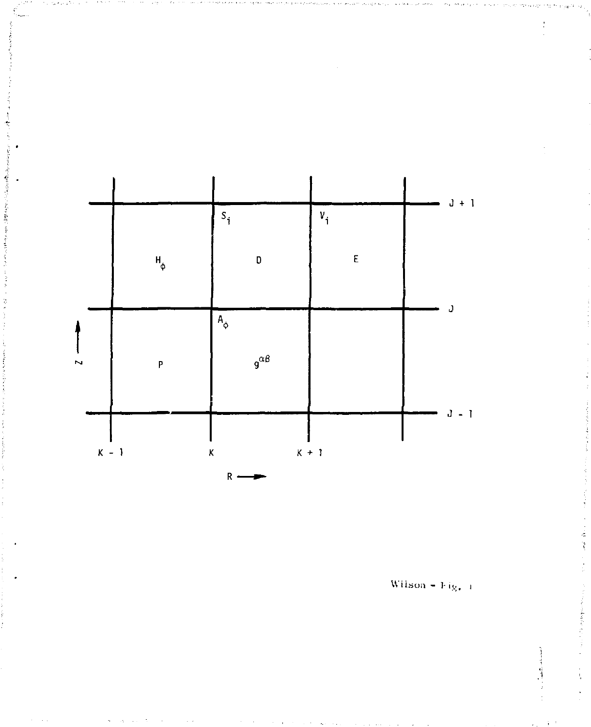

Wilson - Fig. 1

云圣

**Constantinople** 

 $\alpha$  , and the distance of  $\alpha$ ł,  $\mathbf{y}$  .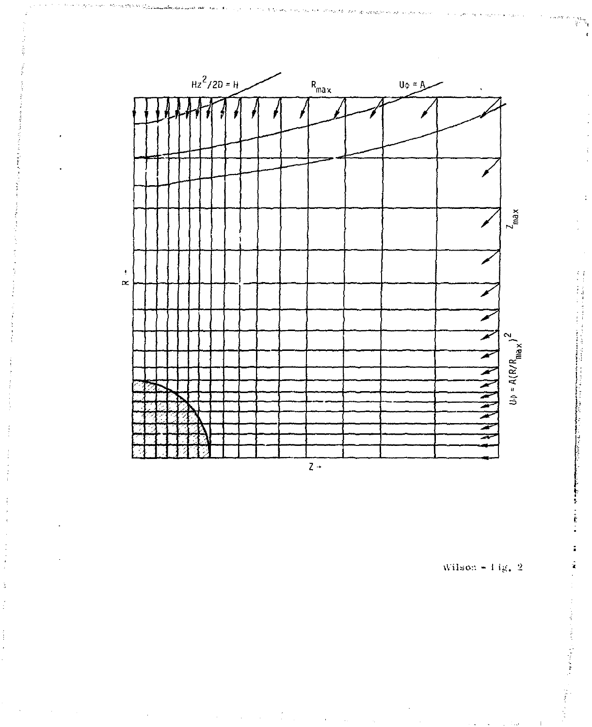

Wilson =  $1$ ig. 2

ij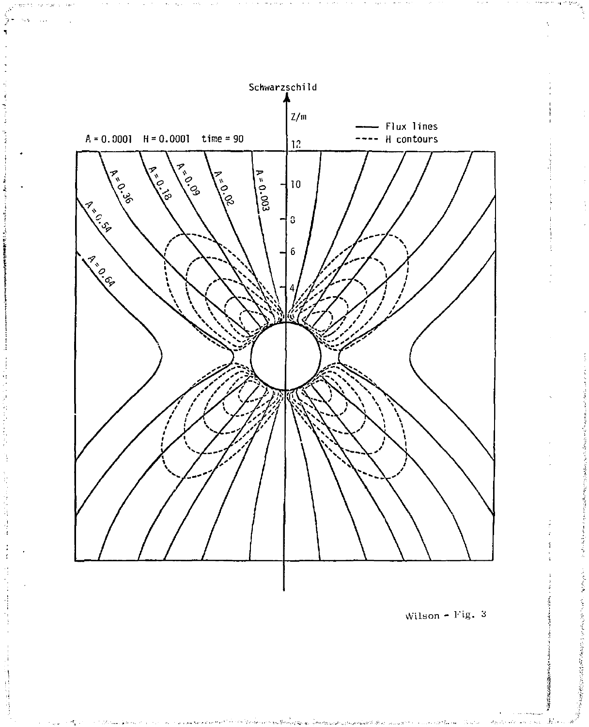

2014年5月,日本語,開始的「大学」

ţ,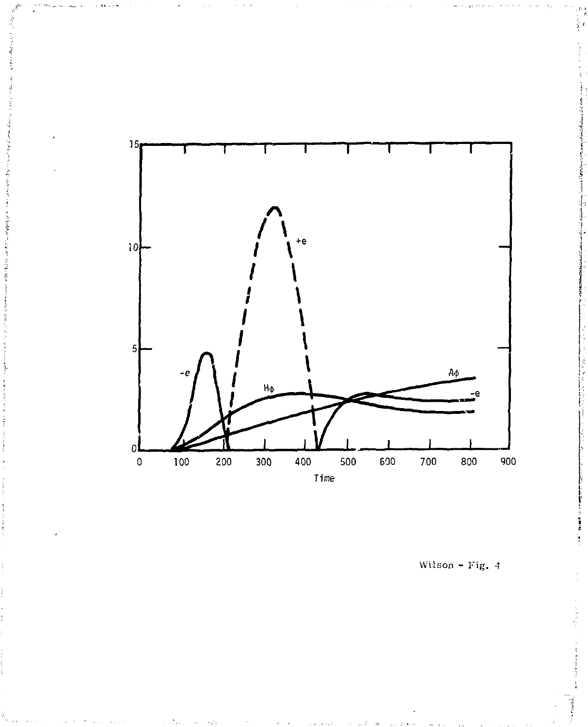

Wilson - Fig. *4*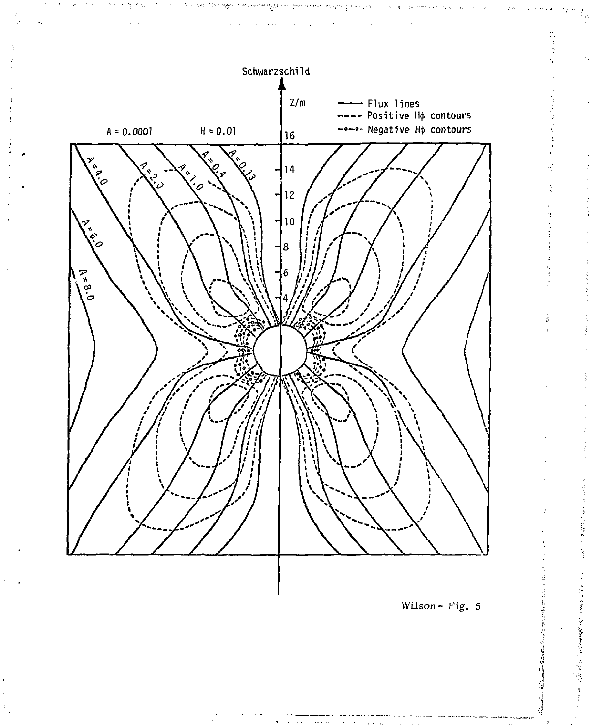

ă **Report** 

的复数医假性 医特征 网络黑色紫色的

医糖子

「海底の中をない」とは、海洋の生

 $\delta$ 

t)<br>P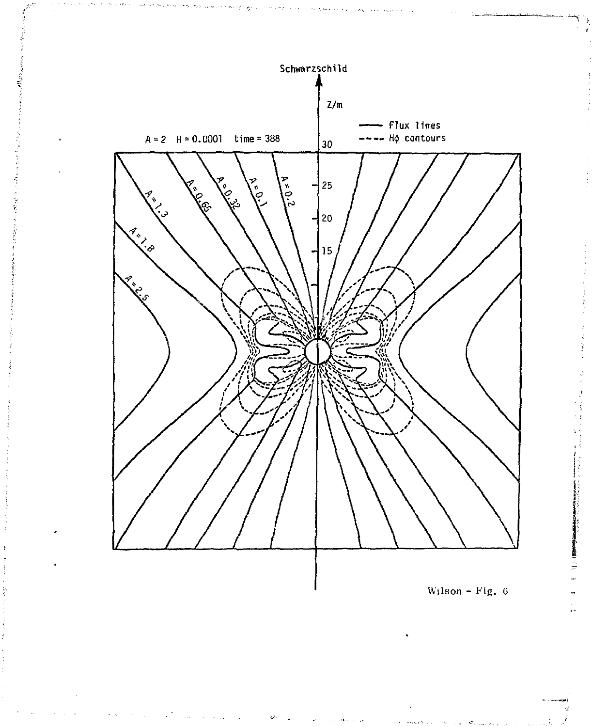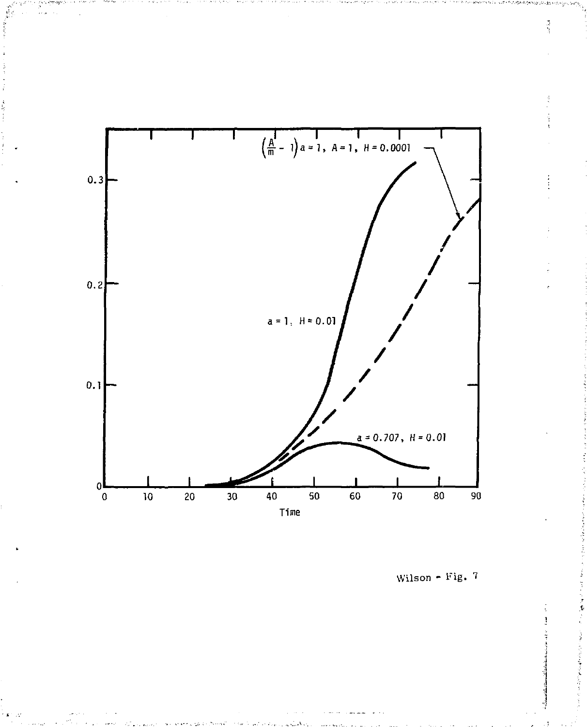

Wilson - Fig.  $7$ 

Ă

j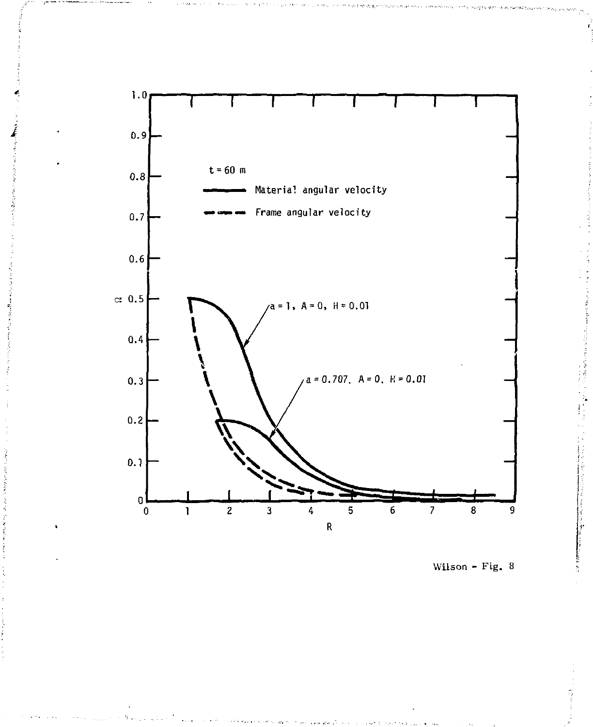

Wilson - Fig. 8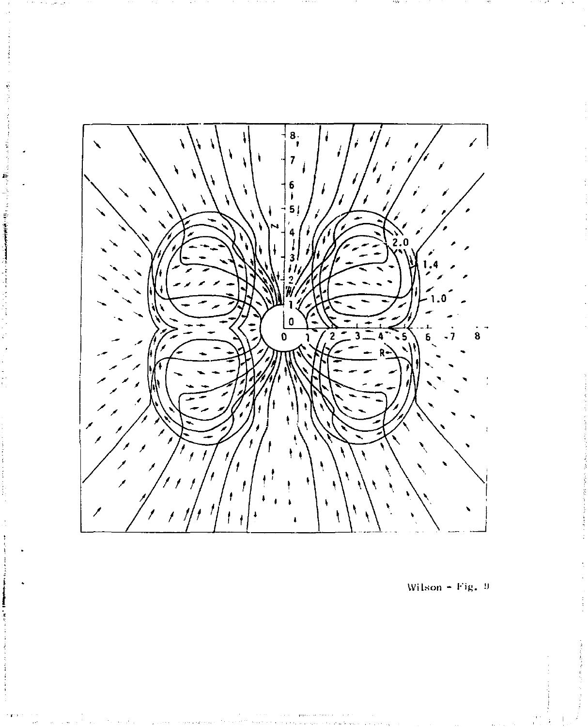

ś

1Ē

Wilson - Fig.  $9$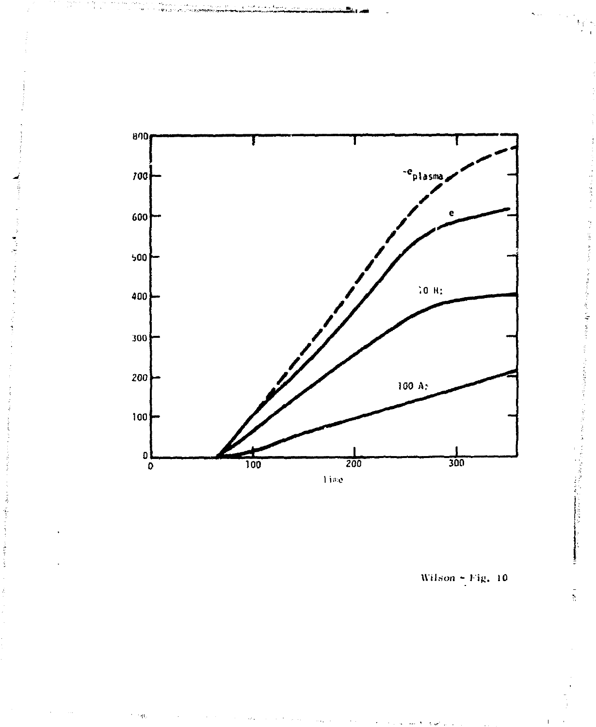

 $\gamma$  ,  $\gamma_{\rm NL}$ 

Wilson  $-$  Fig. 10

合作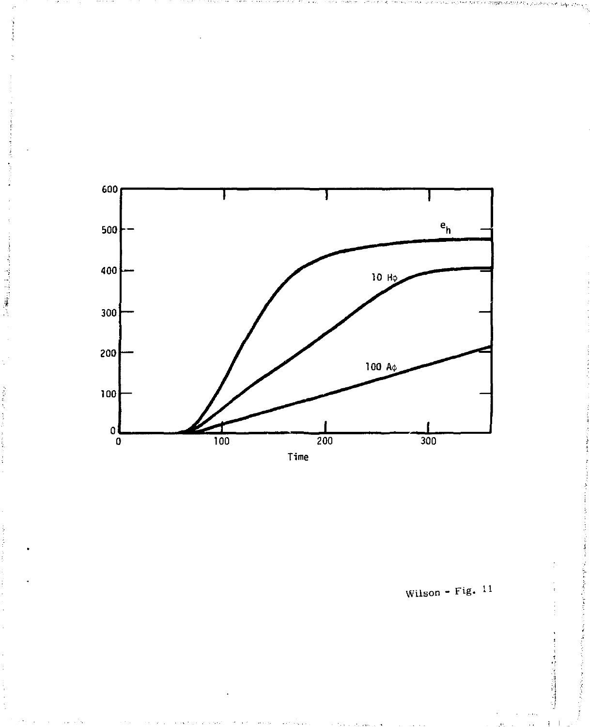

2014年10月

Wilson - Fig.  $11$ 

医阿克里斯 医皮质的 医皮肤病

**Continued in the continued of the continued of the continued of the continued of the continued of the continued**